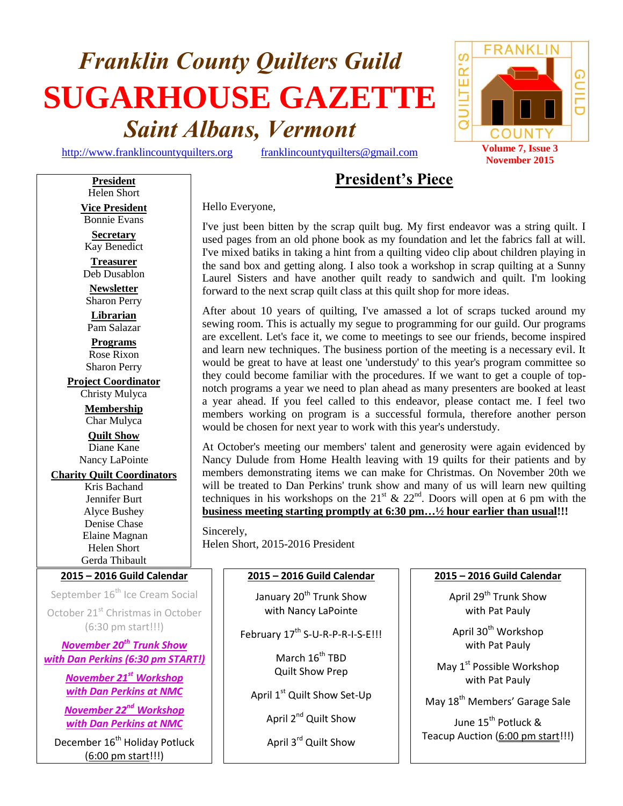# *Franklin County Quilters Guild* **SUGARHOUSE GAZETTE** *Saint Albans, Vermont*

[http://www.franklincountyquilters.org](http://www.franklincountyquilters.org/) [franklincountyquilters@gmail.com](mailto:franklincountyquilters@gmail.com) **Volume 7, Issue 3** 

# **President's Piece**

Helen Short **Vice President** Bonnie Evans

**President**

**Secretary** Kay Benedict

**Treasurer** Deb Dusablon

**Newsletter** Sharon Perry

**Librarian** Pam Salazar **Programs**

Rose Rixon Sharon Perry

**Project Coordinator** Christy Mulyca **Membership** Char Mulyca

**Quilt Show** Diane Kane Nancy LaPointe

**Charity Quilt Coordinators** Kris Bachand Jennifer Burt Alyce Bushey Denise Chase Elaine Magnan Helen Short Gerda Thibault

## **2015 – 2016 Guild Calendar**

September 16<sup>th</sup> Ice Cream Social October 21<sup>st</sup> Christmas in October (6:30 pm start!!!)

*November 20th Trunk Show with Dan Perkins (6:30 pm START!)*

> *November 21st Workshop with Dan Perkins at NMC*

> *November 22nd Workshop with Dan Perkins at NMC*

December 16<sup>th</sup> Holiday Potluck (6:00 pm start!!!)

Hello Everyone,

I've just been bitten by the scrap quilt bug. My first endeavor was a string quilt. I used pages from an old phone book as my foundation and let the fabrics fall at will. I've mixed batiks in taking a hint from a quilting video clip about children playing in the sand box and getting along. I also took a workshop in scrap quilting at a Sunny Laurel Sisters and have another quilt ready to sandwich and quilt. I'm looking forward to the next scrap quilt class at this quilt shop for more ideas.

After about 10 years of quilting, I've amassed a lot of scraps tucked around my sewing room. This is actually my segue to programming for our guild. Our programs are excellent. Let's face it, we come to meetings to see our friends, become inspired and learn new techniques. The business portion of the meeting is a necessary evil. It would be great to have at least one 'understudy' to this year's program committee so they could become familiar with the procedures. If we want to get a couple of topnotch programs a year we need to plan ahead as many presenters are booked at least a year ahead. If you feel called to this endeavor, please contact me. I feel two members working on program is a successful formula, therefore another person would be chosen for next year to work with this year's understudy.

At October's meeting our members' talent and generosity were again evidenced by Nancy Dulude from Home Health leaving with 19 quilts for their patients and by members demonstrating items we can make for Christmas. On November 20th we will be treated to Dan Perkins' trunk show and many of us will learn new quilting techniques in his workshops on the  $21<sup>st</sup>$  &  $22<sup>nd</sup>$ . Doors will open at 6 pm with the **business meeting starting promptly at 6:30 pm…½ hour earlier than usual!!!**

Sincerely, Helen Short, 2015-2016 President

# **2015 – 2016 Guild Calendar**

January 20<sup>th</sup> Trunk Show with Nancy LaPointe

February 17<sup>th</sup> S-U-R-P-R-I-S-E!!!

March 16<sup>th</sup> TBD Quilt Show Prep

April 1<sup>st</sup> Quilt Show Set-Up

April 2<sup>nd</sup> Quilt Show

April 3<sup>rd</sup> Quilt Show

## **2015 – 2016 Guild Calendar**

April 29<sup>th</sup> Trunk Show with Pat Pauly

April 30<sup>th</sup> Workshop with Pat Pauly

May 1<sup>st</sup> Possible Workshop with Pat Pauly

May 18th Members' Garage Sale

June 15<sup>th</sup> Potluck <mark>&</mark> Teacup Auction (6:00 pm start!!!)

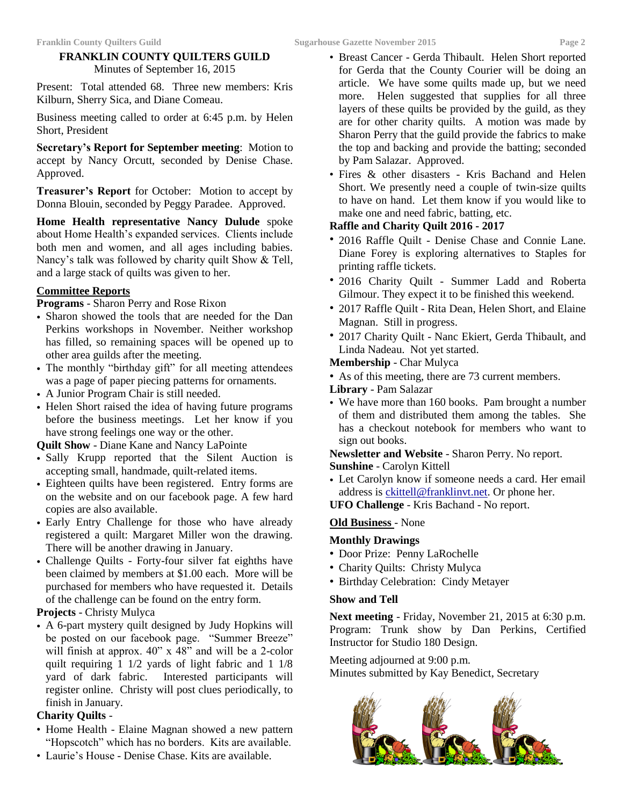# **FRANKLIN COUNTY QUILTERS GUILD**

Minutes of September 16, 2015

Present: Total attended 68. Three new members: Kris Kilburn, Sherry Sica, and Diane Comeau.

Business meeting called to order at 6:45 p.m. by Helen Short, President

**Secretary's Report for September meeting**: Motion to accept by Nancy Orcutt, seconded by Denise Chase. Approved.

**Treasurer's Report** for October: Motion to accept by Donna Blouin, seconded by Peggy Paradee. Approved.

**Home Health representative Nancy Dulude** spoke about Home Health's expanded services. Clients include both men and women, and all ages including babies. Nancy's talk was followed by charity quilt Show & Tell, and a large stack of quilts was given to her.

# **Committee Reports**

**Programs** - Sharon Perry and Rose Rixon

- Sharon showed the tools that are needed for the Dan Perkins workshops in November. Neither workshop has filled, so remaining spaces will be opened up to other area guilds after the meeting.
- The monthly "birthday gift" for all meeting attendees was a page of paper piecing patterns for ornaments.
- A Junior Program Chair is still needed.
- Helen Short raised the idea of having future programs before the business meetings. Let her know if you have strong feelings one way or the other.

**Quilt Show** - Diane Kane and Nancy LaPointe

- Sally Krupp reported that the Silent Auction is accepting small, handmade, quilt-related items.
- Eighteen quilts have been registered. Entry forms are on the website and on our facebook page. A few hard copies are also available.
- Early Entry Challenge for those who have already registered a quilt: Margaret Miller won the drawing. There will be another drawing in January.
- Challenge Quilts Forty-four silver fat eighths have been claimed by members at \$1.00 each. More will be purchased for members who have requested it. Details of the challenge can be found on the entry form.

## **Projects** - Christy Mulyca

• A 6-part mystery quilt designed by Judy Hopkins will be posted on our facebook page. "Summer Breeze" will finish at approx.  $40^{\circ}$  x  $48^{\circ}$  and will be a 2-color quilt requiring 1 1/2 yards of light fabric and 1 1/8 yard of dark fabric. Interested participants will register online. Christy will post clues periodically, to finish in January.

## **Charity Quilts** -

- Home Health Elaine Magnan showed a new pattern "Hopscotch" which has no borders. Kits are available.
- Laurie's House Denise Chase. Kits are available.
- Breast Cancer Gerda Thibault. Helen Short reported for Gerda that the County Courier will be doing an article. We have some quilts made up, but we need more. Helen suggested that supplies for all three layers of these quilts be provided by the guild, as they are for other charity quilts. A motion was made by Sharon Perry that the guild provide the fabrics to make the top and backing and provide the batting; seconded by Pam Salazar. Approved.
- Fires & other disasters Kris Bachand and Helen Short. We presently need a couple of twin-size quilts to have on hand. Let them know if you would like to make one and need fabric, batting, etc.

# **Raffle and Charity Quilt 2016 - 2017**

- 2016 Raffle Quilt Denise Chase and Connie Lane. Diane Forey is exploring alternatives to Staples for printing raffle tickets.
- 2016 Charity Quilt Summer Ladd and Roberta Gilmour. They expect it to be finished this weekend.
- 2017 Raffle Quilt Rita Dean, Helen Short, and Elaine Magnan. Still in progress.
- 2017 Charity Quilt Nanc Ekiert, Gerda Thibault, and Linda Nadeau. Not yet started.
- **Membership**  Char Mulyca
- As of this meeting, there are 73 current members.
- **Library**  Pam Salazar
- We have more than 160 books. Pam brought a number of them and distributed them among the tables. She has a checkout notebook for members who want to sign out books.

**Newsletter and Website** - Sharon Perry. No report. **Sunshine** - Carolyn Kittell

- Let Carolyn know if someone needs a card. Her email address is [ckittell@franklinvt.net.](mailto:ckittell@franklinvt.net) Or phone her.
- **UFO Challenge**  Kris Bachand No report.

## **Old Business** - None

## **Monthly Drawings**

- Door Prize: Penny LaRochelle
- Charity Quilts: Christy Mulyca
- Birthday Celebration: Cindy Metayer

## **Show and Tell**

**Next meeting** - Friday, November 21, 2015 at 6:30 p.m. Program: Trunk show by Dan Perkins, Certified Instructor for Studio 180 Design.

Meeting adjourned at 9:00 p.m. Minutes submitted by Kay Benedict, Secretary

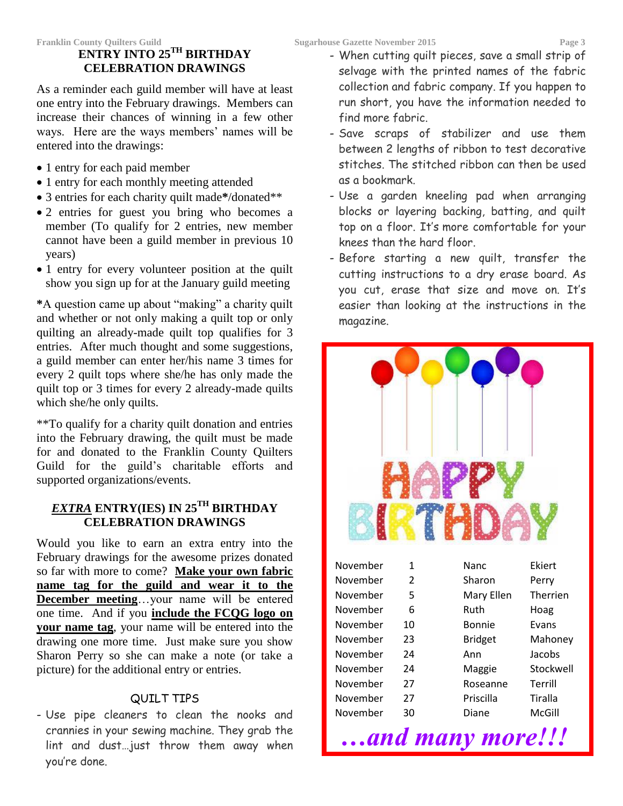# **ENTRY INTO 25TH BIRTHDAY CELEBRATION DRAWINGS**

As a reminder each guild member will have at least one entry into the February drawings. Members can increase their chances of winning in a few other ways. Here are the ways members' names will be entered into the drawings:

- 1 entry for each paid member
- 1 entry for each monthly meeting attended
- 3 entries for each charity quilt made**\***/donated\*\*
- 2 entries for guest you bring who becomes a member (To qualify for 2 entries, new member cannot have been a guild member in previous 10 years)
- 1 entry for every volunteer position at the quilt show you sign up for at the January guild meeting

**\***A question came up about "making" a charity quilt and whether or not only making a quilt top or only quilting an already-made quilt top qualifies for 3 entries. After much thought and some suggestions, a guild member can enter her/his name 3 times for every 2 quilt tops where she/he has only made the quilt top or 3 times for every 2 already-made quilts which she/he only quilts.

\*\*To qualify for a charity quilt donation and entries into the February drawing, the quilt must be made for and donated to the Franklin County Quilters Guild for the guild's charitable efforts and supported organizations/events.

# *EXTRA* **ENTRY(IES) IN 25TH BIRTHDAY CELEBRATION DRAWINGS**

Would you like to earn an extra entry into the February drawings for the awesome prizes donated so far with more to come? **Make your own fabric name tag for the guild and wear it to the December meeting**…your name will be entered one time. And if you **include the FCQG logo on your name tag**, your name will be entered into the drawing one more time. Just make sure you show Sharon Perry so she can make a note (or take a picture) for the additional entry or entries.

# QUILT TIPS

- Use pipe cleaners to clean the nooks and crannies in your sewing machine. They grab the lint and dust…just throw them away when you're done.

- When cutting quilt pieces, save a small strip of selvage with the printed names of the fabric collection and fabric company. If you happen to run short, you have the information needed to find more fabric.
- Save scraps of stabilizer and use them between 2 lengths of ribbon to test decorative stitches. The stitched ribbon can then be used as a bookmark.
- Use a garden kneeling pad when arranging blocks or layering backing, batting, and quilt top on a floor. It's more comfortable for your knees than the hard floor.
- Before starting a new quilt, transfer the cutting instructions to a dry erase board. As you cut, erase that size and move on. It's easier than looking at the instructions in the magazine.

| November | 1  | Nanc           | Ekiert          |  |  |
|----------|----|----------------|-----------------|--|--|
| November | 2  | Sharon         | Perry           |  |  |
| November | 5  | Mary Ellen     | <b>Therrien</b> |  |  |
| November | 6  | Ruth           | Hoag            |  |  |
| November | 10 | <b>Bonnie</b>  | Evans           |  |  |
| November | 23 | <b>Bridget</b> | Mahoney         |  |  |
| November | 24 | Ann            | Jacobs          |  |  |
| November | 24 | Maggie         | Stockwell       |  |  |
| November | 27 | Roseanne       | Terrill         |  |  |
| November | 27 | Priscilla      | <b>Tiralla</b>  |  |  |
| November | 30 | Diane          | McGill          |  |  |

*…and many more!!!*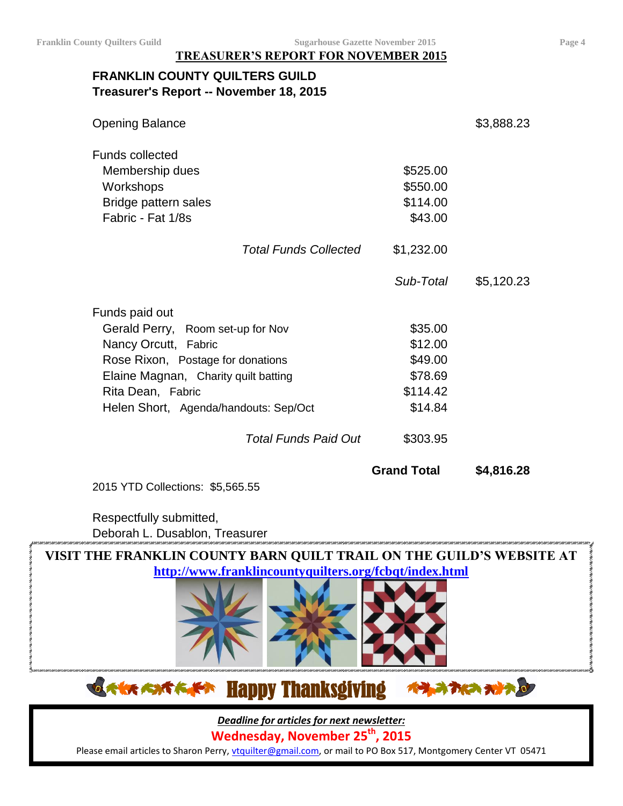**TREASURER'S REPORT FOR NOVEMBER 2015**

# **FRANKLIN COUNTY QUILTERS GUILD Treasurer's Report -- November 18, 2015**

| <b>Opening Balance</b>                |                    | \$3,888.23 |
|---------------------------------------|--------------------|------------|
| <b>Funds collected</b>                |                    |            |
| Membership dues                       | \$525.00           |            |
| Workshops                             | \$550.00           |            |
| Bridge pattern sales                  | \$114.00           |            |
| Fabric - Fat 1/8s                     | \$43.00            |            |
| <b>Total Funds Collected</b>          | \$1,232.00         |            |
|                                       | Sub-Total          | \$5,120.23 |
| Funds paid out                        |                    |            |
| Gerald Perry, Room set-up for Nov     | \$35.00            |            |
| Nancy Orcutt, Fabric                  | \$12.00            |            |
| Rose Rixon, Postage for donations     | \$49.00            |            |
| Elaine Magnan, Charity quilt batting  | \$78.69            |            |
| Rita Dean, Fabric                     | \$114.42           |            |
| Helen Short, Agenda/handouts: Sep/Oct | \$14.84            |            |
| <b>Total Funds Paid Out</b>           | \$303.95           |            |
|                                       | <b>Grand Total</b> | \$4,816.28 |
| 2015 YTD Collections: \$5,565.55      |                    |            |

Respectfully submitted,

Deborah L. Dusablon, Treasurer



**OAK AXTAPT** Happy Thanksgiving ベラスカに カナカ

*Deadline for articles for next newsletter:*

**Wednesday, November 25 th, 2015**

Please email articles to Sharon Perry, *ytquilter@gmail.com*, or mail to PO Box 517, Montgomery Center VT 05471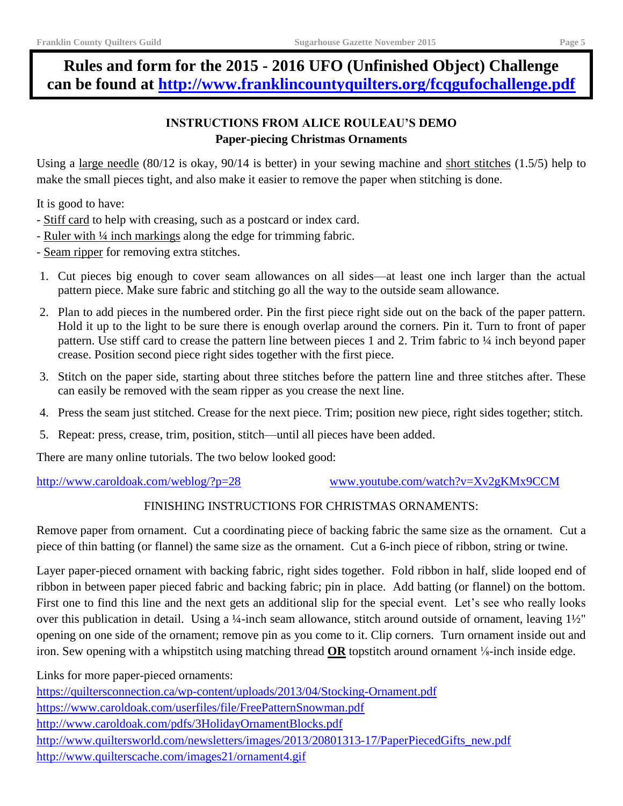# **Rules and form for the 2015 - 2016 UFO (Unfinished Object) Challenge can be found at<http://www.franklincountyquilters.org/fcqgufochallenge.pdf>**

# **INSTRUCTIONS FROM ALICE ROULEAU'S DEMO Paper-piecing Christmas Ornaments**

Using a large needle (80/12 is okay, 90/14 is better) in your sewing machine and short stitches (1.5/5) help to make the small pieces tight, and also make it easier to remove the paper when stitching is done.

It is good to have:

- Stiff card to help with creasing, such as a postcard or index card.
- Ruler with ¼ inch markings along the edge for trimming fabric.
- Seam ripper for removing extra stitches.
- 1. Cut pieces big enough to cover seam allowances on all sides—at least one inch larger than the actual pattern piece. Make sure fabric and stitching go all the way to the outside seam allowance.
- 2. Plan to add pieces in the numbered order. Pin the first piece right side out on the back of the paper pattern. Hold it up to the light to be sure there is enough overlap around the corners. Pin it. Turn to front of paper pattern. Use stiff card to crease the pattern line between pieces 1 and 2. Trim fabric to 1/4 inch beyond paper crease. Position second piece right sides together with the first piece.
- 3. Stitch on the paper side, starting about three stitches before the pattern line and three stitches after. These can easily be removed with the seam ripper as you crease the next line.
- 4. Press the seam just stitched. Crease for the next piece. Trim; position new piece, right sides together; stitch.
- 5. Repeat: press, crease, trim, position, stitch—until all pieces have been added.

There are many online tutorials. The two below looked good:

<http://www.caroldoak.com/weblog/?p=28> [www.youtube.com/watch?v=Xv2gKMx9CCM](http://www.youtube.com/watch?v=Xv2gKMx9CCM)

# FINISHING INSTRUCTIONS FOR CHRISTMAS ORNAMENTS:

Remove paper from ornament. Cut a coordinating piece of backing fabric the same size as the ornament. Cut a piece of thin batting (or flannel) the same size as the ornament. Cut a 6-inch piece of ribbon, string or twine.

Layer paper-pieced ornament with backing fabric, right sides together. Fold ribbon in half, slide looped end of ribbon in between paper pieced fabric and backing fabric; pin in place. Add batting (or flannel) on the bottom. First one to find this line and the next gets an additional slip for the special event. Let's see who really looks over this publication in detail. Using a ¼-inch seam allowance, stitch around outside of ornament, leaving  $1\frac{1}{2}$ " opening on one side of the ornament; remove pin as you come to it. Clip corners. Turn ornament inside out and iron. Sew opening with a whipstitch using matching thread **OR** topstitch around ornament ⅛-inch inside edge.

Links for more paper-pieced ornaments:

<https://quiltersconnection.ca/wp-content/uploads/2013/04/Stocking-Ornament.pdf> <https://www.caroldoak.com/userfiles/file/FreePatternSnowman.pdf> <http://www.caroldoak.com/pdfs/3HolidayOrnamentBlocks.pdf> [http://www.quiltersworld.com/newsletters/images/2013/20801313-17/PaperPiecedGifts\\_new.pdf](http://www.quiltersworld.com/newsletters/images/2013/20801313-17/PaperPiecedGifts_new.pdf) <http://www.quilterscache.com/images21/ornament4.gif>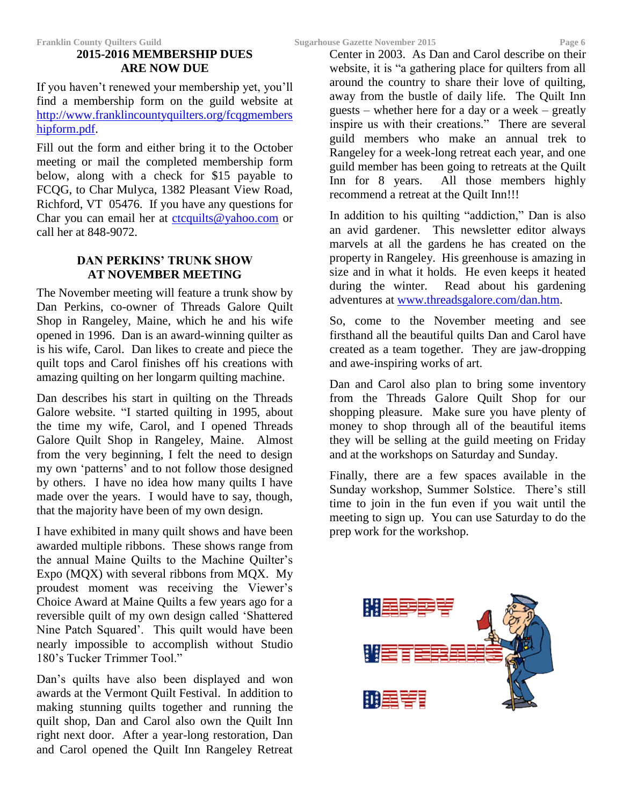# **2015-2016 MEMBERSHIP DUES ARE NOW DUE**

If you haven't renewed your membership yet, you'll find a membership form on the guild website at [http://www.franklincountyquilters.org/fcqgmembers](http://www.franklincountyquilters.org/fcqgmembershipform.pdf) [hipform.pdf.](http://www.franklincountyquilters.org/fcqgmembershipform.pdf)

Fill out the form and either bring it to the October meeting or mail the completed membership form below, along with a check for \$15 payable to FCQG, to Char Mulyca, 1382 Pleasant View Road, Richford, VT 05476. If you have any questions for Char you can email her at [ctcquilts@yahoo.com](mailto:ctcquilts@yahoo.com) or call her at 848-9072.

# **DAN PERKINS' TRUNK SHOW AT NOVEMBER MEETING**

The November meeting will feature a trunk show by Dan Perkins, co-owner of Threads Galore Quilt Shop in Rangeley, Maine, which he and his wife opened in 1996. Dan is an award-winning quilter as is his wife, Carol. Dan likes to create and piece the quilt tops and Carol finishes off his creations with amazing quilting on her longarm quilting machine.

Dan describes his start in quilting on the Threads Galore website. "I started quilting in 1995, about the time my wife, Carol, and I opened Threads Galore Quilt Shop in Rangeley, Maine. Almost from the very beginning, I felt the need to design my own 'patterns' and to not follow those designed by others. I have no idea how many quilts I have made over the years. I would have to say, though, that the majority have been of my own design.

I have exhibited in many quilt shows and have been awarded multiple ribbons. These shows range from the annual Maine Quilts to the Machine Quilter's Expo (MQX) with several ribbons from MQX. My proudest moment was receiving the Viewer's Choice Award at Maine Quilts a few years ago for a reversible quilt of my own design called 'Shattered Nine Patch Squared'. This quilt would have been nearly impossible to accomplish without Studio 180's Tucker Trimmer Tool."

Dan's quilts have also been displayed and won awards at the Vermont Quilt Festival. In addition to making stunning quilts together and running the quilt shop, Dan and Carol also own the Quilt Inn right next door. After a year-long restoration, Dan and Carol opened the Quilt Inn Rangeley Retreat

Center in 2003. As Dan and Carol describe on their website, it is "a gathering place for quilters from all around the country to share their love of quilting, away from the bustle of daily life. The Quilt Inn guests – whether here for a day or a week – greatly inspire us with their creations." There are several guild members who make an annual trek to Rangeley for a week-long retreat each year, and one guild member has been going to retreats at the Quilt Inn for 8 years. All those members highly recommend a retreat at the Quilt Inn!!!

In addition to his quilting "addiction," Dan is also an avid gardener. This newsletter editor always marvels at all the gardens he has created on the property in Rangeley. His greenhouse is amazing in size and in what it holds. He even keeps it heated during the winter. Read about his gardening adventures at [www.threadsgalore.com/dan.htm.](http://www.threadsgalore.com/dan.htm)

So, come to the November meeting and see firsthand all the beautiful quilts Dan and Carol have created as a team together. They are jaw-dropping and awe-inspiring works of art.

Dan and Carol also plan to bring some inventory from the Threads Galore Quilt Shop for our shopping pleasure. Make sure you have plenty of money to shop through all of the beautiful items they will be selling at the guild meeting on Friday and at the workshops on Saturday and Sunday.

Finally, there are a few spaces available in the Sunday workshop, Summer Solstice. There's still time to join in the fun even if you wait until the meeting to sign up. You can use Saturday to do the prep work for the workshop.